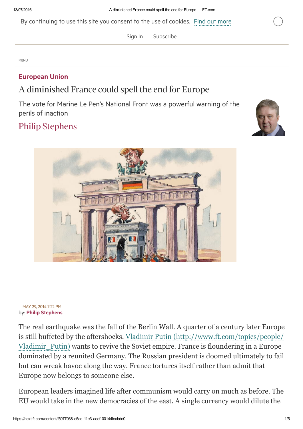By continuing to use this site you consent to the use of cookies. Find out [more](http://help.ft.com/tools-services/how-the-ft-manages-cookies-on-its-websites/)

[Sign](https://next.ft.com/login?location=%2Fcontent%2Ff5077038-e5ad-11e3-aeef-00144feabdc0) In  $\vert$  [Subscribe](https://next.ft.com/products?segID=400863&segmentID=190b4443-dc03-bd53-e79b-b4b6fbd04e64)

MENU

## [European](https://next.ft.com/stream/organisationsId/VC0xNDcyNTI3-T04=) Union

## A diminished France could spell the end for Europe

The vote for Marine Le Pen's National Front was a powerful warning of the perils of inaction

## Philip [Stephens](https://next.ft.com/stream/authorsId/Q0ItMDAwMDkyOQ==-QXV0aG9ycw==)





## by: Philip [Stephens](https://next.ft.com/stream/authorsId/Q0ItMDAwMDkyOQ==-QXV0aG9ycw==) MAY 29, 2014 7:22 PM

The real earthquake was the fall of the Berlin Wall. A quarter of a century later Europe is still buffeted by the aftershocks. Vladimir Putin [\(http://www.ft.com/topics/people/](http://www.ft.com/topics/people/Vladimir_Putin) Vladimir\_Putin) wants to revive the Soviet empire. France is floundering in a Europe dominated by a reunited Germany. The Russian president is doomed ultimately to fail but can wreak havoc along the way. France tortures itself rather than admit that Europe now belongs to someone else.

European leaders imagined life after communism would carry on much as before. The EU would take in the new democracies of the east. A single currency would dilute the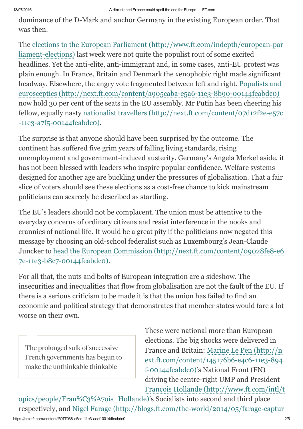dominance of the D-Mark and anchor Germany in the existing European order. That was then.

The elections to the European Parliament (http://www.ft.com/indepth/european-par liament-elections) last week were not quite the populist rout of some excited headlines. Yet the anti-elite, anti-immigrant and, in some cases, anti-EU protest was plain enough. In France, Britain and Denmark the xenophobic right made significant headway. Elsewhere, the angry vote fragmented between left and right. Populists and eurosceptics (http://next.ft.com/content/a905caba-e5a6-11e3-8b90-00144feabdc0) now hold 30 per cent of the seats in the EU assembly. Mr Putin has been cheering his fellow, equally nasty nationalist travellers  $\frac{http://next ft.com/content/07d12f2e-e57c}{$ -11e3-a7f5-00144feabdc0).

The surprise is that anyone should have been surprised by the outcome. The continent has suffered five grim years of falling living standards, rising unemployment and government-induced austerity. Germany's Angela Merkel aside, it has not been blessed with leaders who inspire popular confidence. Welfare systems designed for another age are buckling under the pressures of globalisation. That a fair slice of voters should see these elections as a cost-free chance to kick mainstream politicians can scarcely be described as startling.

The EU's leaders should not be complacent. The union must be attentive to the everyday concerns of ordinary citizens and resist interference in the nooks and crannies of national life. It would be a great pity if the politicians now negated this message by choosing an old-school federalist such as Luxembourg's Jean-Claude Juncker to head the European Commission (http://next.ft.com/content/09028fe8-e6 7e-11e3-b8c7-00144feabdc0).

For all that, the nuts and bolts of European integration are a sideshow. The insecurities and inequalities that flow from globalisation are not the fault of the EU. If there is a serious criticism to be made it is that the union has failed to find an economic and political strategy that demonstrates that member states would fare a lot worse on their own.

The prolonged sulk of successive French governments has begun to make the unthinkable thinkable

These were national more than European elections. The big shocks were delivered in France and Britain: Marine Le Pen (http://n  $ext.ft.com/content/145176b6-e4c6-11e3-894$ f-00144feabdc0)'s National Front (FN) driving the centre-right UMP and President François Hollande (http://www.ft.com/intl/t

[opics/people/Fran%C3%A7ois\\_Hollande\)'s](http://www.ft.com/intl/topics/people/Fran%C3%A7ois_Hollande) Socialists into second and third place respectively, and Nigel Farage (http://blogs.ft.com/the-world/2014/05/farage-captur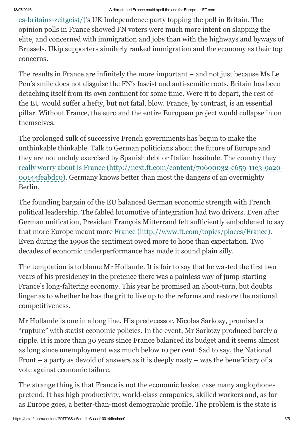es-britains-zeitgeist/)'s UK Independence party topping the poll in Britain. The opinion polls in France showed FN voters were much more intent on slapping the elite, and concerned with immigration and jobs than with the highways and byways of Brussels. Ukip supporters similarly ranked immigration and the economy as their top concerns.

The results in France are infinitely the more important – and not just because Ms Le Pen's smile does not disguise the FN's fascist and anti-semitic roots. Britain has been detaching itself from its own continent for some time. Were it to depart, the rest of the EU would suffer a hefty, but not fatal, blow. France, by contrast, is an essential pillar. Without France, the euro and the entire European project would collapse in on themselves.

The prolonged sulk of successive French governments has begun to make the unthinkable thinkable. Talk to German politicians about the future of Europe and they are not unduly exercised by Spanish debt or Italian lassitude. The country they really worry about is France (http://next.ft.com/content/70600032-e659-11e3-9a20-00144feabdc0). Germany knows better than most the dangers of an overmighty Berlin.

The founding bargain of the EU balanced German economic strength with French political leadership. The fabled locomotive of integration had two drivers. Even after German unification, President François Mitterrand felt sufficiently emboldened to say that more Europe meant more France [\(http://www.ft.com/topics/places/France\).](http://www.ft.com/topics/places/France) Even during the 1990s the sentiment owed more to hope than expectation. Two decades of economic underperformance has made it sound plain silly.

The temptation is to blame Mr Hollande. It is fair to say that he wasted the first two years of his presidency in the pretence there was a painless way of jump-starting France's long-faltering economy. This year he promised an about-turn, but doubts linger as to whether he has the grit to live up to the reforms and restore the national competitiveness.

Mr Hollande is one in a long line. His predecessor, Nicolas Sarkozy, promised a "rupture" with statist economic policies. In the event, Mr Sarkozy produced barely a ripple. It is more than 30 years since France balanced its budget and it seems almost as long since unemployment was much below 10 per cent. Sad to say, the National Front – a party as devoid of answers as it is deeply nasty – was the beneficiary of a vote against economic failure.

The strange thing is that France is not the economic basket case many anglophones pretend. It has high productivity, world-class companies, skilled workers and, as far as Europe goes, a better-than-most demographic profile. The problem is the state is